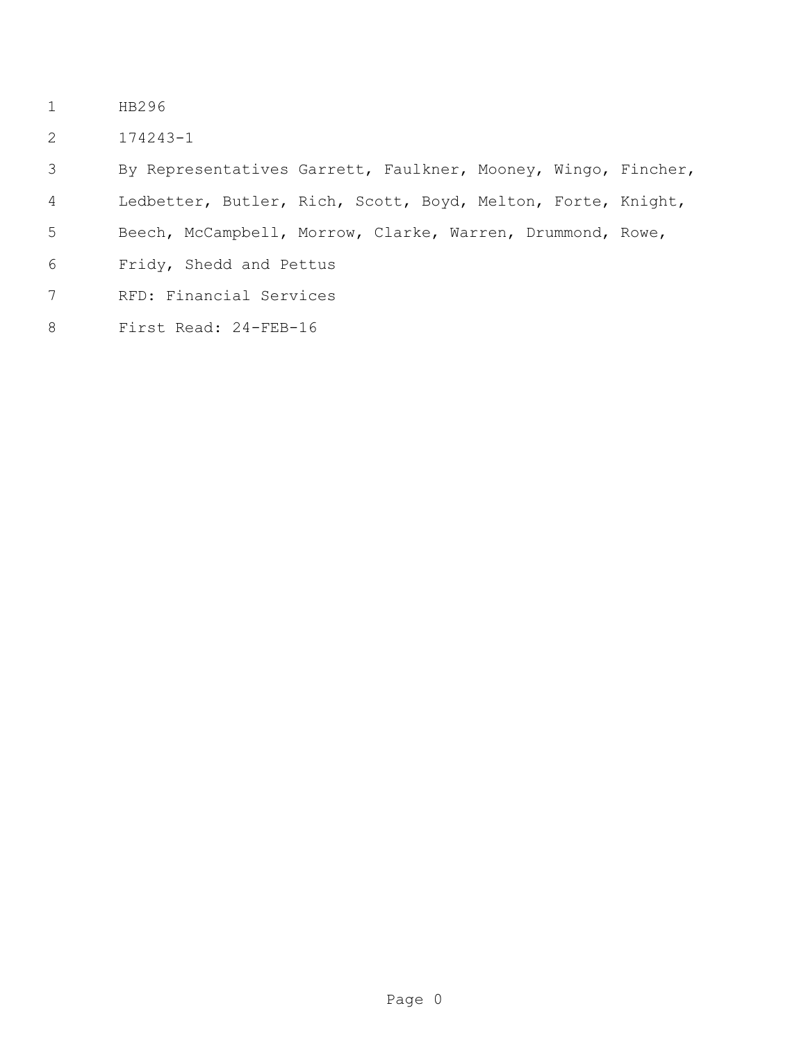- HB296
- 174243-1

 By Representatives Garrett, Faulkner, Mooney, Wingo, Fincher, Ledbetter, Butler, Rich, Scott, Boyd, Melton, Forte, Knight, Beech, McCampbell, Morrow, Clarke, Warren, Drummond, Rowe, Fridy, Shedd and Pettus RFD: Financial Services First Read: 24-FEB-16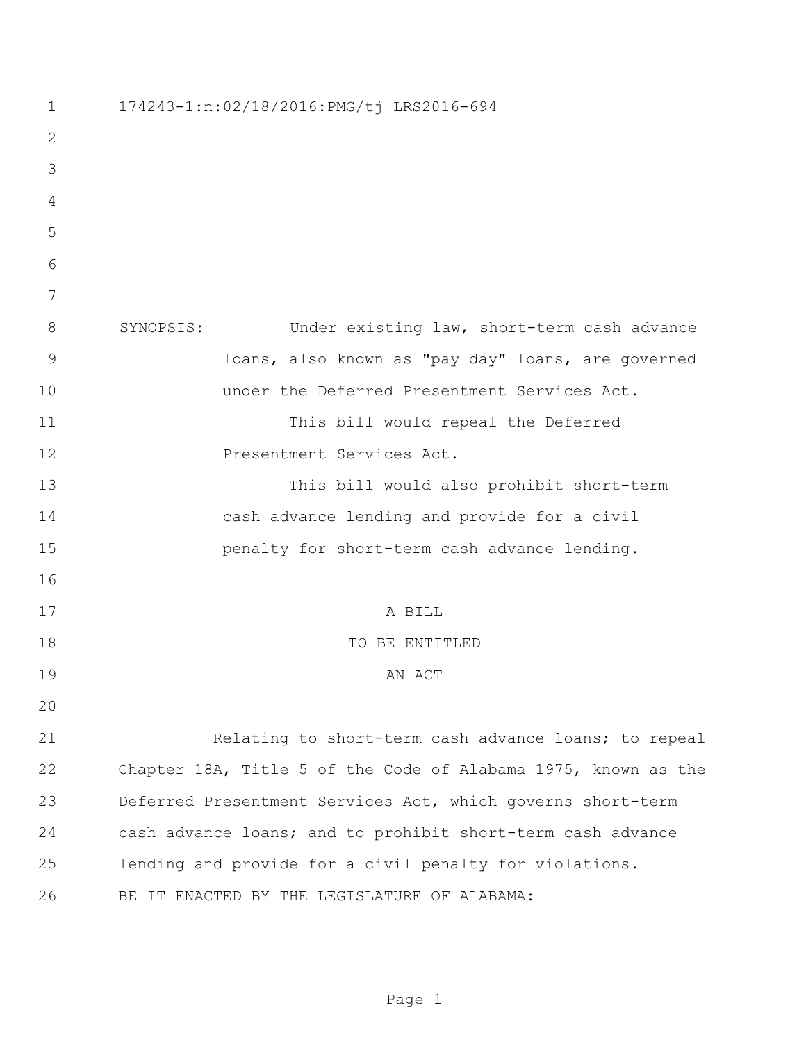| $\mathbf 1$   | 174243-1:n:02/18/2016:PMG/tj LRS2016-694                       |
|---------------|----------------------------------------------------------------|
| $\mathbf 2$   |                                                                |
| 3             |                                                                |
| 4             |                                                                |
| 5             |                                                                |
| 6             |                                                                |
| 7             |                                                                |
| 8             | SYNOPSIS:<br>Under existing law, short-term cash advance       |
| $\mathcal{G}$ | loans, also known as "pay day" loans, are governed             |
| 10            | under the Deferred Presentment Services Act.                   |
| 11            | This bill would repeal the Deferred                            |
| 12            | Presentment Services Act.                                      |
| 13            | This bill would also prohibit short-term                       |
| 14            | cash advance lending and provide for a civil                   |
| 15            | penalty for short-term cash advance lending.                   |
| 16            |                                                                |
| 17            | A BILL                                                         |
| 18            | TO BE ENTITLED                                                 |
| 19            | AN ACT                                                         |
| 20            |                                                                |
| 21            | Relating to short-term cash advance loans; to repeal           |
| 22            | Chapter 18A, Title 5 of the Code of Alabama 1975, known as the |
| 23            | Deferred Presentment Services Act, which governs short-term    |
| 24            | cash advance loans; and to prohibit short-term cash advance    |
| 25            | lending and provide for a civil penalty for violations.        |
| 26            | BE IT ENACTED BY THE LEGISLATURE OF ALABAMA:                   |